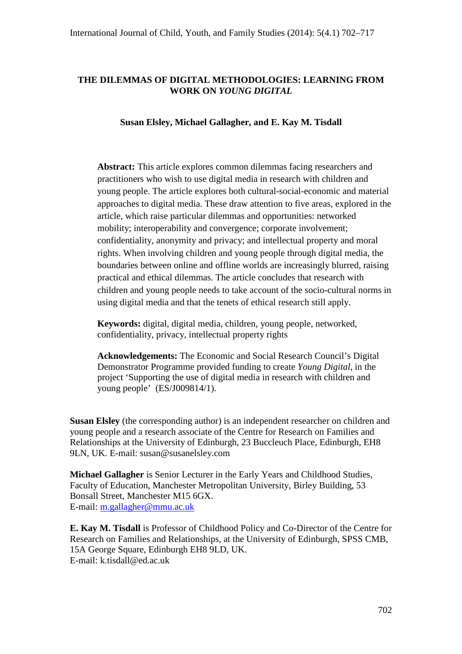# **THE DILEMMAS OF DIGITAL METHODOLOGIES: LEARNING FROM WORK ON** *YOUNG DIGITAL*

## **Susan Elsley, Michael Gallagher, and E. Kay M. Tisdall**

**Abstract:** This article explores common dilemmas facing researchers and practitioners who wish to use digital media in research with children and young people. The article explores both cultural-social-economic and material approaches to digital media. These draw attention to five areas, explored in the article, which raise particular dilemmas and opportunities: networked mobility; interoperability and convergence; corporate involvement; confidentiality, anonymity and privacy; and intellectual property and moral rights. When involving children and young people through digital media, the boundaries between online and offline worlds are increasingly blurred, raising practical and ethical dilemmas. The article concludes that research with children and young people needs to take account of the socio-cultural norms in using digital media and that the tenets of ethical research still apply.

**Keywords:** digital, digital media, children, young people, networked, confidentiality, privacy, intellectual property rights

**Acknowledgements:** The Economic and Social Research Council's Digital Demonstrator Programme provided funding to create *Young Digital*, in the project 'Supporting the use of digital media in research with children and young people' (ES/J009814/1).

**Susan Elsley** (the corresponding author) is an independent researcher on children and young people and a research associate of the Centre for Research on Families and Relationships at the University of Edinburgh, 23 Buccleuch Place, Edinburgh, EH8 9LN, UK. E-mail: susan@susanelsley.com

**Michael Gallagher** is Senior Lecturer in the Early Years and Childhood Studies, Faculty of Education, Manchester Metropolitan University, Birley Building, 53 Bonsall Street, Manchester M15 6GX. E-mail: [m.gallagher@mmu.ac.uk](mailto:m.gallagher@mmu.ac.uk)

**E. Kay M. Tisdall** is Professor of Childhood Policy and Co-Director of the Centre for Research on Families and Relationships, at the University of Edinburgh, SPSS CMB, 15A George Square, Edinburgh EH8 9LD, UK. E-mail: k.tisdall@ed.ac.uk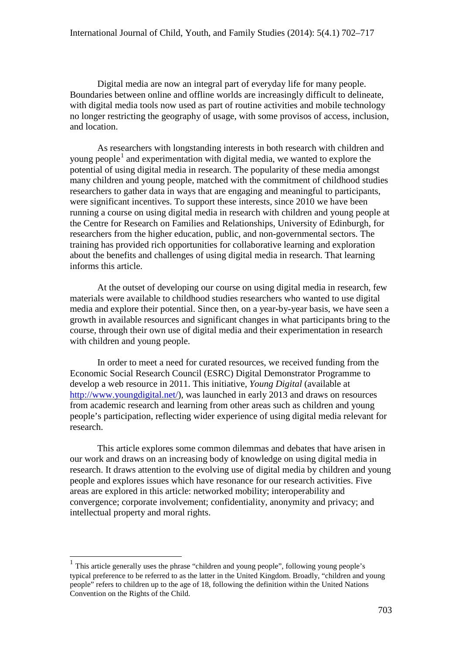Digital media are now an integral part of everyday life for many people. Boundaries between online and offline worlds are increasingly difficult to delineate, with digital media tools now used as part of routine activities and mobile technology no longer restricting the geography of usage, with some provisos of access, inclusion, and location.

As researchers with longstanding interests in both research with children and young people<sup>[1](#page-1-0)</sup> and experimentation with digital media, we wanted to explore the potential of using digital media in research. The popularity of these media amongst many children and young people, matched with the commitment of childhood studies researchers to gather data in ways that are engaging and meaningful to participants, were significant incentives. To support these interests, since 2010 we have been running a course on using digital media in research with children and young people at the Centre for Research on Families and Relationships, University of Edinburgh, for researchers from the higher education, public, and non-governmental sectors. The training has provided rich opportunities for collaborative learning and exploration about the benefits and challenges of using digital media in research. That learning informs this article.

At the outset of developing our course on using digital media in research, few materials were available to childhood studies researchers who wanted to use digital media and explore their potential. Since then, on a year-by-year basis, we have seen a growth in available resources and significant changes in what participants bring to the course, through their own use of digital media and their experimentation in research with children and young people.

In order to meet a need for curated resources, we received funding from the Economic Social Research Council (ESRC) Digital Demonstrator Programme to develop a web resource in 2011. This initiative, *Young Digital* (available at [http://www.youngdigital.net/\)](http://www.youngdigital.net/), was launched in early 2013 and draws on resources from academic research and learning from other areas such as children and young people's participation, reflecting wider experience of using digital media relevant for research.

This article explores some common dilemmas and debates that have arisen in our work and draws on an increasing body of knowledge on using digital media in research. It draws attention to the evolving use of digital media by children and young people and explores issues which have resonance for our research activities. Five areas are explored in this article: networked mobility; interoperability and convergence; corporate involvement; confidentiality, anonymity and privacy; and intellectual property and moral rights.

<span id="page-1-0"></span><sup>&</sup>lt;sup>1</sup> This article generally uses the phrase "children and young people", following young people's typical preference to be referred to as the latter in the United Kingdom. Broadly, "children and young people" refers to children up to the age of 18, following the definition within the United Nations Convention on the Rights of the Child.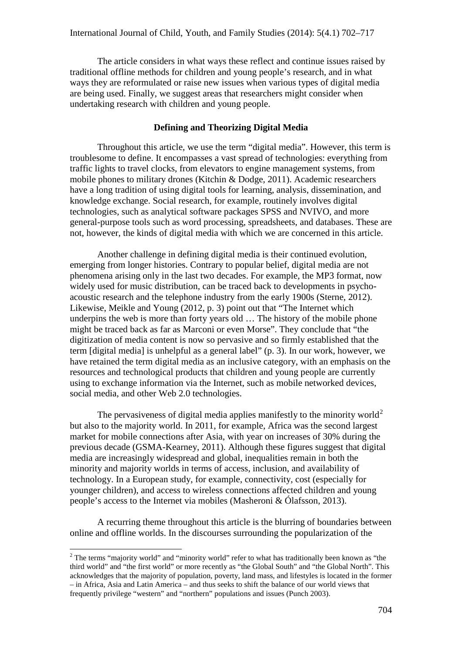The article considers in what ways these reflect and continue issues raised by traditional offline methods for children and young people's research, and in what ways they are reformulated or raise new issues when various types of digital media are being used. Finally, we suggest areas that researchers might consider when undertaking research with children and young people.

#### **Defining and Theorizing Digital Media**

Throughout this article, we use the term "digital media". However, this term is troublesome to define. It encompasses a vast spread of technologies: everything from traffic lights to travel clocks, from elevators to engine management systems, from mobile phones to military drones (Kitchin & Dodge, 2011). Academic researchers have a long tradition of using digital tools for learning, analysis, dissemination, and knowledge exchange. Social research, for example, routinely involves digital technologies, such as analytical software packages SPSS and NVIVO, and more general-purpose tools such as word processing, spreadsheets, and databases. These are not, however, the kinds of digital media with which we are concerned in this article.

Another challenge in defining digital media is their continued evolution, emerging from longer histories. Contrary to popular belief, digital media are not phenomena arising only in the last two decades. For example, the MP3 format, now widely used for music distribution, can be traced back to developments in psychoacoustic research and the telephone industry from the early 1900s (Sterne, 2012). Likewise, Meikle and Young (2012, p. 3) point out that "The Internet which underpins the web is more than forty years old … The history of the mobile phone might be traced back as far as Marconi or even Morse". They conclude that "the digitization of media content is now so pervasive and so firmly established that the term [digital media] is unhelpful as a general label" (p. 3). In our work, however, we have retained the term digital media as an inclusive category, with an emphasis on the resources and technological products that children and young people are currently using to exchange information via the Internet, such as mobile networked devices, social media, and other Web 2.0 technologies.

The pervasiveness of digital media applies manifestly to the minority world<sup>[2](#page-2-0)</sup> but also to the majority world. In 2011, for example, Africa was the second largest market for mobile connections after Asia, with year on increases of 30% during the previous decade (GSMA-Kearney, 2011). Although these figures suggest that digital media are increasingly widespread and global, inequalities remain in both the minority and majority worlds in terms of access, inclusion, and availability of technology. In a European study, for example, connectivity, cost (especially for younger children), and access to wireless connections affected children and young people's access to the Internet via mobiles (Masheroni & Ólafsson, 2013).

A recurring theme throughout this article is the blurring of boundaries between online and offline worlds. In the discourses surrounding the popularization of the

<span id="page-2-0"></span><sup>&</sup>lt;sup>2</sup> The terms "majority world" and "minority world" refer to what has traditionally been known as "the third world" and "the first world" or more recently as "the Global South" and "the Global North". This acknowledges that the majority of population, poverty, land mass, and lifestyles is located in the former – in Africa, Asia and Latin America – and thus seeks to shift the balance of our world views that frequently privilege "western" and "northern" populations and issues (Punch 2003).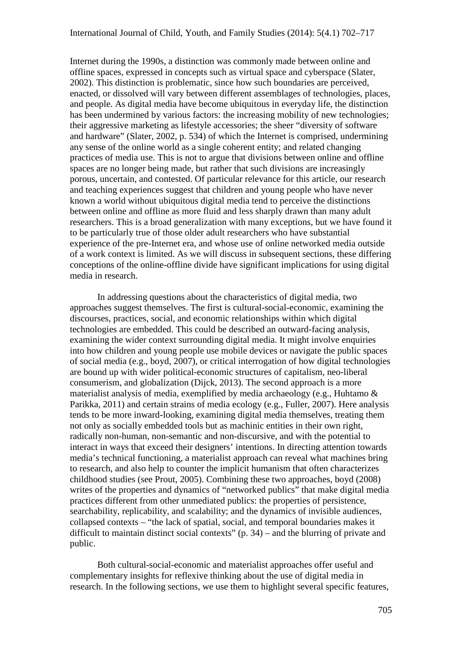Internet during the 1990s, a distinction was commonly made between online and offline spaces, expressed in concepts such as virtual space and cyberspace (Slater, 2002). This distinction is problematic, since how such boundaries are perceived, enacted, or dissolved will vary between different assemblages of technologies, places, and people. As digital media have become ubiquitous in everyday life, the distinction has been undermined by various factors: the increasing mobility of new technologies; their aggressive marketing as lifestyle accessories; the sheer "diversity of software and hardware" (Slater, 2002, p. 534) of which the Internet is comprised, undermining any sense of the online world as a single coherent entity; and related changing practices of media use. This is not to argue that divisions between online and offline spaces are no longer being made, but rather that such divisions are increasingly porous, uncertain, and contested. Of particular relevance for this article, our research and teaching experiences suggest that children and young people who have never known a world without ubiquitous digital media tend to perceive the distinctions between online and offline as more fluid and less sharply drawn than many adult researchers. This is a broad generalization with many exceptions, but we have found it to be particularly true of those older adult researchers who have substantial experience of the pre-Internet era, and whose use of online networked media outside of a work context is limited. As we will discuss in subsequent sections, these differing conceptions of the online-offline divide have significant implications for using digital media in research.

In addressing questions about the characteristics of digital media, two approaches suggest themselves. The first is cultural-social-economic, examining the discourses, practices, social, and economic relationships within which digital technologies are embedded. This could be described an outward-facing analysis, examining the wider context surrounding digital media. It might involve enquiries into how children and young people use mobile devices or navigate the public spaces of social media (e.g., boyd, 2007), or critical interrogation of how digital technologies are bound up with wider political-economic structures of capitalism, neo-liberal consumerism, and globalization (Dijck, 2013). The second approach is a more materialist analysis of media, exemplified by media archaeology (e.g., Huhtamo & Parikka, 2011) and certain strains of media ecology (e.g., Fuller, 2007). Here analysis tends to be more inward-looking, examining digital media themselves, treating them not only as socially embedded tools but as machinic entities in their own right, radically non-human, non-semantic and non-discursive, and with the potential to interact in ways that exceed their designers' intentions. In directing attention towards media's technical functioning, a materialist approach can reveal what machines bring to research, and also help to counter the implicit humanism that often characterizes childhood studies (see Prout, 2005). Combining these two approaches, boyd (2008) writes of the properties and dynamics of "networked publics" that make digital media practices different from other unmediated publics: the properties of persistence, searchability, replicability, and scalability; and the dynamics of invisible audiences, collapsed contexts – "the lack of spatial, social, and temporal boundaries makes it difficult to maintain distinct social contexts" (p. 34) – and the blurring of private and public.

Both cultural-social-economic and materialist approaches offer useful and complementary insights for reflexive thinking about the use of digital media in research. In the following sections, we use them to highlight several specific features,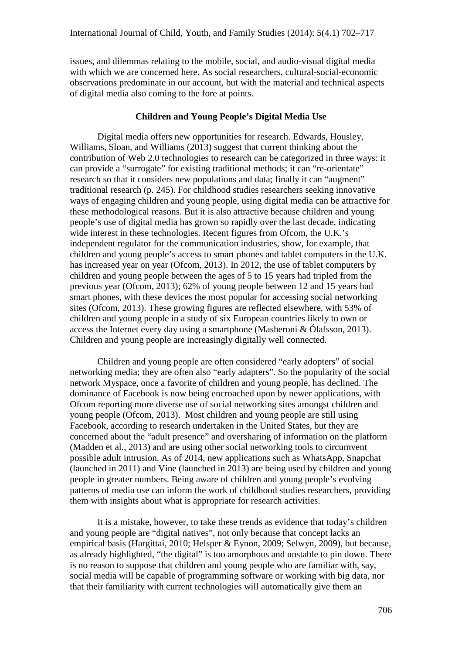issues, and dilemmas relating to the mobile, social, and audio-visual digital media with which we are concerned here. As social researchers, cultural-social-economic observations predominate in our account, but with the material and technical aspects of digital media also coming to the fore at points.

### **Children and Young People's Digital Media Use**

Digital media offers new opportunities for research. Edwards, Housley, Williams, Sloan, and Williams (2013) suggest that current thinking about the contribution of Web 2.0 technologies to research can be categorized in three ways: it can provide a "surrogate" for existing traditional methods; it can "re-orientate" research so that it considers new populations and data; finally it can "augment" traditional research (p. 245). For childhood studies researchers seeking innovative ways of engaging children and young people, using digital media can be attractive for these methodological reasons. But it is also attractive because children and young people's use of digital media has grown so rapidly over the last decade, indicating wide interest in these technologies. Recent figures from Ofcom, the U.K.'s independent regulator for the communication industries, show, for example, that children and young people's access to smart phones and tablet computers in the U.K. has increased year on year (Ofcom, 2013). In 2012, the use of tablet computers by children and young people between the ages of 5 to 15 years had tripled from the previous year (Ofcom, 2013); 62% of young people between 12 and 15 years had smart phones, with these devices the most popular for accessing social networking sites (Ofcom, 2013). These growing figures are reflected elsewhere, with 53% of children and young people in a study of six European countries likely to own or access the Internet every day using a smartphone (Masheroni & Ólafsson, 2013). Children and young people are increasingly digitally well connected.

Children and young people are often considered "early adopters" of social networking media; they are often also "early adapters". So the popularity of the social network Myspace, once a favorite of children and young people, has declined. The dominance of Facebook is now being encroached upon by newer applications, with Ofcom reporting more diverse use of social networking sites amongst children and young people (Ofcom, 2013). Most children and young people are still using Facebook, according to research undertaken in the United States, but they are concerned about the "adult presence" and oversharing of information on the platform (Madden et al., 2013) and are using other social networking tools to circumvent possible adult intrusion. As of 2014, new applications such as WhatsApp, Snapchat (launched in 2011) and Vine (launched in 2013) are being used by children and young people in greater numbers. Being aware of children and young people's evolving patterns of media use can inform the work of childhood studies researchers, providing them with insights about what is appropriate for research activities.

It is a mistake, however, to take these trends as evidence that today's children and young people are "digital natives", not only because that concept lacks an empirical basis (Hargittai, 2010; Helsper & Eynon, 2009; Selwyn, 2009), but because, as already highlighted, "the digital" is too amorphous and unstable to pin down. There is no reason to suppose that children and young people who are familiar with, say, social media will be capable of programming software or working with big data, nor that their familiarity with current technologies will automatically give them an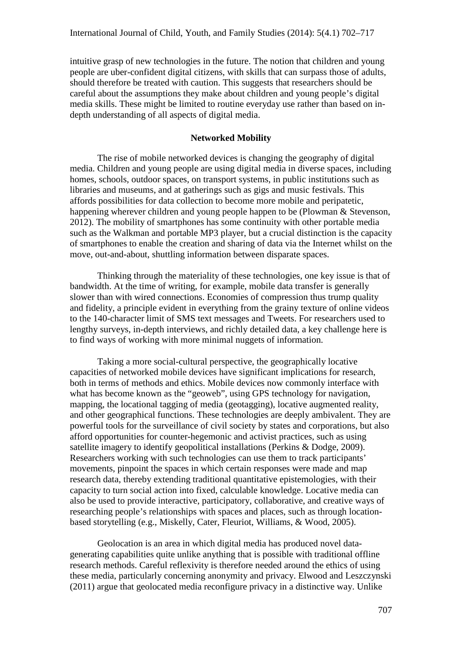intuitive grasp of new technologies in the future. The notion that children and young people are uber-confident digital citizens, with skills that can surpass those of adults, should therefore be treated with caution. This suggests that researchers should be careful about the assumptions they make about children and young people's digital media skills. These might be limited to routine everyday use rather than based on indepth understanding of all aspects of digital media.

### **Networked Mobility**

The rise of mobile networked devices is changing the geography of digital media. Children and young people are using digital media in diverse spaces, including homes, schools, outdoor spaces, on transport systems, in public institutions such as libraries and museums, and at gatherings such as gigs and music festivals. This affords possibilities for data collection to become more mobile and peripatetic, happening wherever children and young people happen to be (Plowman & Stevenson, 2012). The mobility of smartphones has some continuity with other portable media such as the Walkman and portable MP3 player, but a crucial distinction is the capacity of smartphones to enable the creation and sharing of data via the Internet whilst on the move, out-and-about, shuttling information between disparate spaces.

Thinking through the materiality of these technologies, one key issue is that of bandwidth. At the time of writing, for example, mobile data transfer is generally slower than with wired connections. Economies of compression thus trump quality and fidelity, a principle evident in everything from the grainy texture of online videos to the 140-character limit of SMS text messages and Tweets. For researchers used to lengthy surveys, in-depth interviews, and richly detailed data, a key challenge here is to find ways of working with more minimal nuggets of information.

Taking a more social-cultural perspective, the geographically locative capacities of networked mobile devices have significant implications for research, both in terms of methods and ethics. Mobile devices now commonly interface with what has become known as the "geoweb", using GPS technology for navigation, mapping, the locational tagging of media (geotagging), locative augmented reality, and other geographical functions. These technologies are deeply ambivalent. They are powerful tools for the surveillance of civil society by states and corporations, but also afford opportunities for counter-hegemonic and activist practices, such as using satellite imagery to identify geopolitical installations (Perkins & Dodge, 2009). Researchers working with such technologies can use them to track participants' movements, pinpoint the spaces in which certain responses were made and map research data, thereby extending traditional quantitative epistemologies, with their capacity to turn social action into fixed, calculable knowledge. Locative media can also be used to provide interactive, participatory, collaborative, and creative ways of researching people's relationships with spaces and places, such as through locationbased storytelling (e.g., Miskelly, Cater, Fleuriot, Williams, & Wood, 2005).

Geolocation is an area in which digital media has produced novel datagenerating capabilities quite unlike anything that is possible with traditional offline research methods. Careful reflexivity is therefore needed around the ethics of using these media, particularly concerning anonymity and privacy. Elwood and Leszczynski (2011) argue that geolocated media reconfigure privacy in a distinctive way. Unlike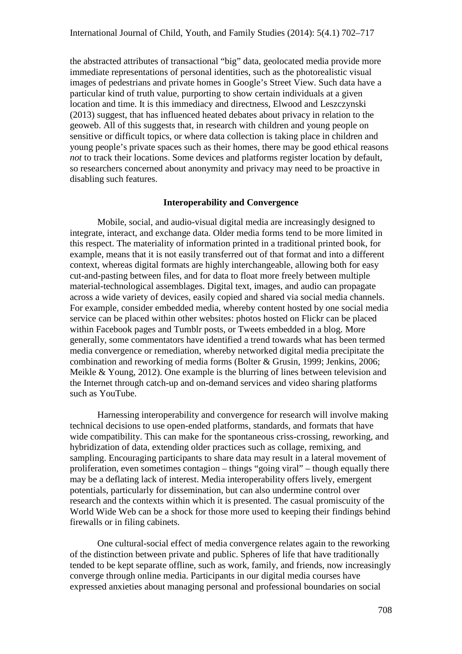the abstracted attributes of transactional "big" data, geolocated media provide more immediate representations of personal identities, such as the photorealistic visual images of pedestrians and private homes in Google's Street View. Such data have a particular kind of truth value, purporting to show certain individuals at a given location and time. It is this immediacy and directness, Elwood and Leszczynski (2013) suggest, that has influenced heated debates about privacy in relation to the geoweb. All of this suggests that, in research with children and young people on sensitive or difficult topics, or where data collection is taking place in children and young people's private spaces such as their homes, there may be good ethical reasons *not* to track their locations. Some devices and platforms register location by default, so researchers concerned about anonymity and privacy may need to be proactive in disabling such features.

#### **Interoperability and Convergence**

Mobile, social, and audio-visual digital media are increasingly designed to integrate, interact, and exchange data. Older media forms tend to be more limited in this respect. The materiality of information printed in a traditional printed book, for example, means that it is not easily transferred out of that format and into a different context, whereas digital formats are highly interchangeable, allowing both for easy cut-and-pasting between files, and for data to float more freely between multiple material-technological assemblages. Digital text, images, and audio can propagate across a wide variety of devices, easily copied and shared via social media channels. For example, consider embedded media, whereby content hosted by one social media service can be placed within other websites: photos hosted on Flickr can be placed within Facebook pages and Tumblr posts, or Tweets embedded in a blog. More generally, some commentators have identified a trend towards what has been termed media convergence or remediation, whereby networked digital media precipitate the combination and reworking of media forms (Bolter & Grusin, 1999; Jenkins, 2006; Meikle & Young, 2012). One example is the blurring of lines between television and the Internet through catch-up and on-demand services and video sharing platforms such as YouTube.

Harnessing interoperability and convergence for research will involve making technical decisions to use open-ended platforms, standards, and formats that have wide compatibility. This can make for the spontaneous criss-crossing, reworking, and hybridization of data, extending older practices such as collage, remixing, and sampling. Encouraging participants to share data may result in a lateral movement of proliferation, even sometimes contagion – things "going viral" – though equally there may be a deflating lack of interest. Media interoperability offers lively, emergent potentials, particularly for dissemination, but can also undermine control over research and the contexts within which it is presented. The casual promiscuity of the World Wide Web can be a shock for those more used to keeping their findings behind firewalls or in filing cabinets.

One cultural-social effect of media convergence relates again to the reworking of the distinction between private and public. Spheres of life that have traditionally tended to be kept separate offline, such as work, family, and friends, now increasingly converge through online media. Participants in our digital media courses have expressed anxieties about managing personal and professional boundaries on social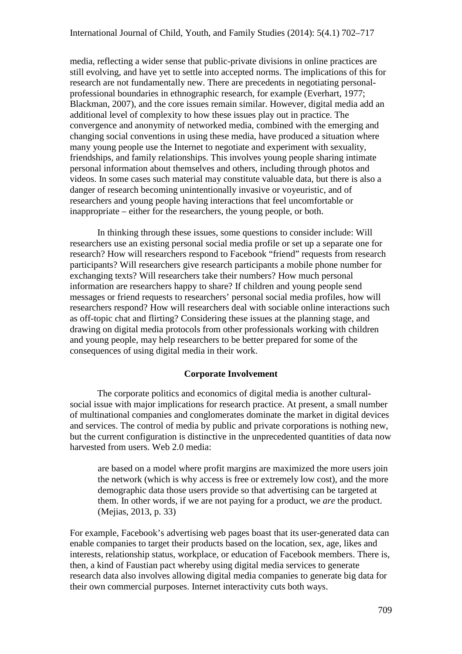media, reflecting a wider sense that public-private divisions in online practices are still evolving, and have yet to settle into accepted norms. The implications of this for research are not fundamentally new. There are precedents in negotiating personalprofessional boundaries in ethnographic research, for example (Everhart, 1977; Blackman, 2007), and the core issues remain similar. However, digital media add an additional level of complexity to how these issues play out in practice. The convergence and anonymity of networked media, combined with the emerging and changing social conventions in using these media, have produced a situation where many young people use the Internet to negotiate and experiment with sexuality, friendships, and family relationships. This involves young people sharing intimate personal information about themselves and others, including through photos and videos. In some cases such material may constitute valuable data, but there is also a danger of research becoming unintentionally invasive or voyeuristic, and of researchers and young people having interactions that feel uncomfortable or inappropriate – either for the researchers, the young people, or both.

In thinking through these issues, some questions to consider include: Will researchers use an existing personal social media profile or set up a separate one for research? How will researchers respond to Facebook "friend" requests from research participants? Will researchers give research participants a mobile phone number for exchanging texts? Will researchers take their numbers? How much personal information are researchers happy to share? If children and young people send messages or friend requests to researchers' personal social media profiles, how will researchers respond? How will researchers deal with sociable online interactions such as off-topic chat and flirting? Considering these issues at the planning stage, and drawing on digital media protocols from other professionals working with children and young people, may help researchers to be better prepared for some of the consequences of using digital media in their work.

### **Corporate Involvement**

The corporate politics and economics of digital media is another culturalsocial issue with major implications for research practice. At present, a small number of multinational companies and conglomerates dominate the market in digital devices and services. The control of media by public and private corporations is nothing new, but the current configuration is distinctive in the unprecedented quantities of data now harvested from users. Web 2.0 media:

are based on a model where profit margins are maximized the more users join the network (which is why access is free or extremely low cost), and the more demographic data those users provide so that advertising can be targeted at them. In other words, if we are not paying for a product, we *are* the product. (Mejias, 2013, p. 33)

For example, Facebook's advertising web pages boast that its user-generated data can enable companies to target their products based on the location, sex, age, likes and interests, relationship status, workplace, or education of Facebook members. There is, then, a kind of Faustian pact whereby using digital media services to generate research data also involves allowing digital media companies to generate big data for their own commercial purposes. Internet interactivity cuts both ways.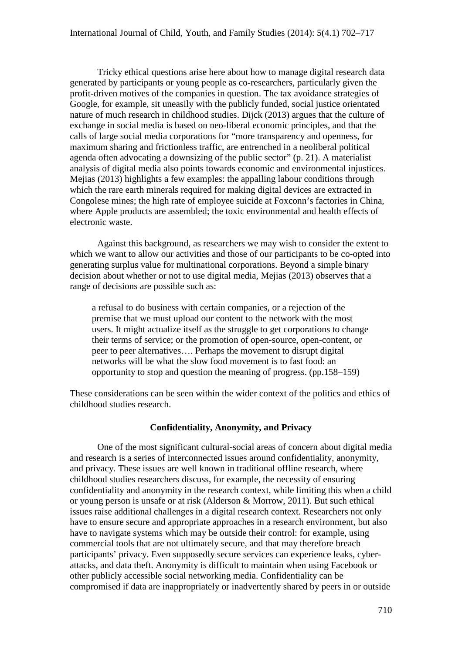Tricky ethical questions arise here about how to manage digital research data generated by participants or young people as co-researchers, particularly given the profit-driven motives of the companies in question. The tax avoidance strategies of Google, for example, sit uneasily with the publicly funded, social justice orientated nature of much research in childhood studies. Dijck (2013) argues that the culture of exchange in social media is based on neo-liberal economic principles, and that the calls of large social media corporations for "more transparency and openness, for maximum sharing and frictionless traffic, are entrenched in a neoliberal political agenda often advocating a downsizing of the public sector" (p. 21). A materialist analysis of digital media also points towards economic and environmental injustices. Mejias (2013) highlights a few examples: the appalling labour conditions through which the rare earth minerals required for making digital devices are extracted in Congolese mines; the high rate of employee suicide at Foxconn's factories in China, where Apple products are assembled; the toxic environmental and health effects of electronic waste.

Against this background, as researchers we may wish to consider the extent to which we want to allow our activities and those of our participants to be co-opted into generating surplus value for multinational corporations. Beyond a simple binary decision about whether or not to use digital media, Mejias (2013) observes that a range of decisions are possible such as:

a refusal to do business with certain companies, or a rejection of the premise that we must upload our content to the network with the most users. It might actualize itself as the struggle to get corporations to change their terms of service; or the promotion of open-source, open-content, or peer to peer alternatives…. Perhaps the movement to disrupt digital networks will be what the slow food movement is to fast food: an opportunity to stop and question the meaning of progress. (pp.158–159)

These considerations can be seen within the wider context of the politics and ethics of childhood studies research.

#### **Confidentiality, Anonymity, and Privacy**

One of the most significant cultural-social areas of concern about digital media and research is a series of interconnected issues around confidentiality, anonymity, and privacy. These issues are well known in traditional offline research, where childhood studies researchers discuss, for example, the necessity of ensuring confidentiality and anonymity in the research context, while limiting this when a child or young person is unsafe or at risk (Alderson & Morrow, 2011). But such ethical issues raise additional challenges in a digital research context. Researchers not only have to ensure secure and appropriate approaches in a research environment, but also have to navigate systems which may be outside their control: for example, using commercial tools that are not ultimately secure, and that may therefore breach participants' privacy. Even supposedly secure services can experience leaks, cyberattacks, and data theft. Anonymity is difficult to maintain when using Facebook or other publicly accessible social networking media. Confidentiality can be compromised if data are inappropriately or inadvertently shared by peers in or outside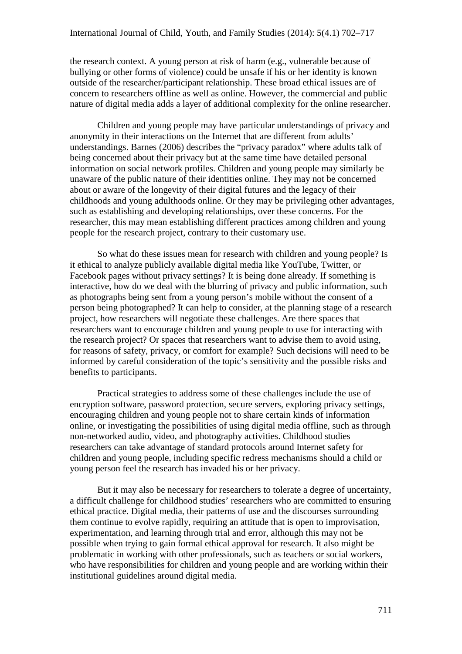the research context. A young person at risk of harm (e.g., vulnerable because of bullying or other forms of violence) could be unsafe if his or her identity is known outside of the researcher/participant relationship. These broad ethical issues are of concern to researchers offline as well as online. However, the commercial and public nature of digital media adds a layer of additional complexity for the online researcher.

Children and young people may have particular understandings of privacy and anonymity in their interactions on the Internet that are different from adults' understandings. Barnes (2006) describes the "privacy paradox" where adults talk of being concerned about their privacy but at the same time have detailed personal information on social network profiles. Children and young people may similarly be unaware of the public nature of their identities online. They may not be concerned about or aware of the longevity of their digital futures and the legacy of their childhoods and young adulthoods online. Or they may be privileging other advantages, such as establishing and developing relationships, over these concerns. For the researcher, this may mean establishing different practices among children and young people for the research project, contrary to their customary use.

So what do these issues mean for research with children and young people? Is it ethical to analyze publicly available digital media like YouTube, Twitter, or Facebook pages without privacy settings? It is being done already. If something is interactive, how do we deal with the blurring of privacy and public information, such as photographs being sent from a young person's mobile without the consent of a person being photographed? It can help to consider, at the planning stage of a research project, how researchers will negotiate these challenges. Are there spaces that researchers want to encourage children and young people to use for interacting with the research project? Or spaces that researchers want to advise them to avoid using, for reasons of safety, privacy, or comfort for example? Such decisions will need to be informed by careful consideration of the topic's sensitivity and the possible risks and benefits to participants.

Practical strategies to address some of these challenges include the use of encryption software, password protection, secure servers, exploring privacy settings, encouraging children and young people not to share certain kinds of information online, or investigating the possibilities of using digital media offline, such as through non-networked audio, video, and photography activities. Childhood studies researchers can take advantage of standard protocols around Internet safety for children and young people, including specific redress mechanisms should a child or young person feel the research has invaded his or her privacy.

But it may also be necessary for researchers to tolerate a degree of uncertainty, a difficult challenge for childhood studies' researchers who are committed to ensuring ethical practice. Digital media, their patterns of use and the discourses surrounding them continue to evolve rapidly, requiring an attitude that is open to improvisation, experimentation, and learning through trial and error, although this may not be possible when trying to gain formal ethical approval for research. It also might be problematic in working with other professionals, such as teachers or social workers, who have responsibilities for children and young people and are working within their institutional guidelines around digital media.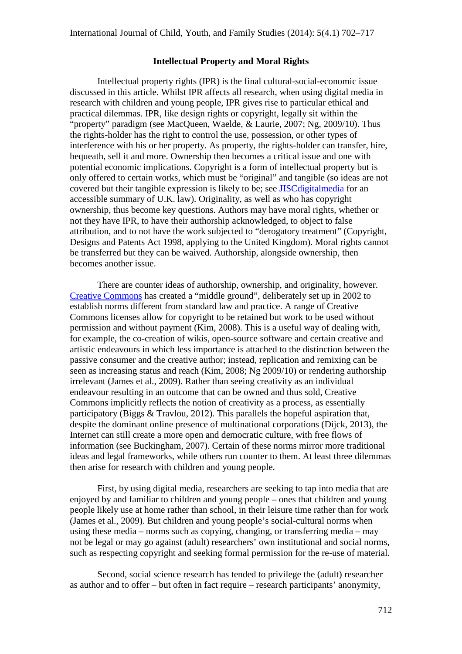#### **Intellectual Property and Moral Rights**

Intellectual property rights (IPR) is the final cultural-social-economic issue discussed in this article. Whilst IPR affects all research, when using digital media in research with children and young people, IPR gives rise to particular ethical and practical dilemmas. IPR, like design rights or copyright, legally sit within the "property" paradigm (see MacQueen, Waelde, & Laurie, 2007; Ng, 2009/10). Thus the rights-holder has the right to control the use, possession, or other types of interference with his or her property. As property, the rights-holder can transfer, hire, bequeath, sell it and more. Ownership then becomes a critical issue and one with potential economic implications. Copyright is a form of intellectual property but is only offered to certain works, which must be "original" and tangible (so ideas are not covered but their tangible expression is likely to be; see [JISCdigitalmedia](http://www.jiscdigitalmedia.ac.uk/guide/copyright-an-overview) for an accessible summary of U.K. law). Originality, as well as who has copyright ownership, thus become key questions. Authors may have moral rights, whether or not they have IPR, to have their authorship acknowledged, to object to false attribution, and to not have the work subjected to "derogatory treatment" (Copyright, Designs and Patents Act 1998, applying to the United Kingdom). Moral rights cannot be transferred but they can be waived. Authorship, alongside ownership, then becomes another issue.

There are counter ideas of authorship, ownership, and originality, however. [Creative Commons](http://creativecommons.org/about) has created a "middle ground", deliberately set up in 2002 to establish norms different from standard law and practice. A range of Creative Commons licenses allow for copyright to be retained but work to be used without permission and without payment (Kim, 2008). This is a useful way of dealing with, for example, the co-creation of wikis, open-source software and certain creative and artistic endeavours in which less importance is attached to the distinction between the passive consumer and the creative author; instead, replication and remixing can be seen as increasing status and reach (Kim, 2008; Ng 2009/10) or rendering authorship irrelevant (James et al., 2009). Rather than seeing creativity as an individual endeavour resulting in an outcome that can be owned and thus sold, Creative Commons implicitly reflects the notion of creativity as a process, as essentially participatory (Biggs & Travlou, 2012). This parallels the hopeful aspiration that, despite the dominant online presence of multinational corporations (Dijck, 2013), the Internet can still create a more open and democratic culture, with free flows of information (see Buckingham, 2007). Certain of these norms mirror more traditional ideas and legal frameworks, while others run counter to them. At least three dilemmas then arise for research with children and young people.

First, by using digital media, researchers are seeking to tap into media that are enjoyed by and familiar to children and young people – ones that children and young people likely use at home rather than school, in their leisure time rather than for work (James et al., 2009). But children and young people's social-cultural norms when using these media – norms such as copying, changing, or transferring media – may not be legal or may go against (adult) researchers' own institutional and social norms, such as respecting copyright and seeking formal permission for the re-use of material.

Second, social science research has tended to privilege the (adult) researcher as author and to offer – but often in fact require – research participants' anonymity,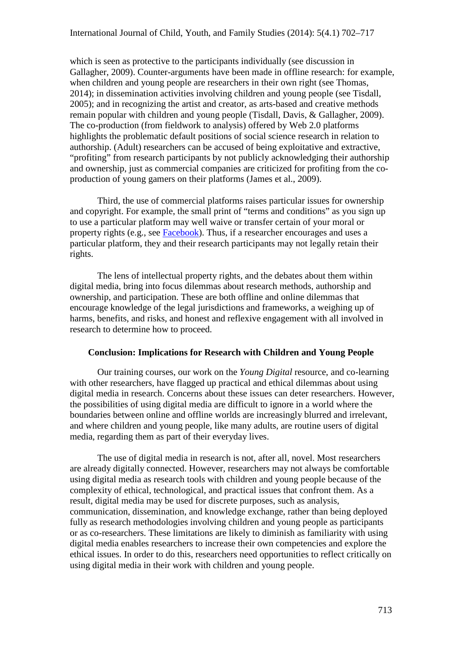which is seen as protective to the participants individually (see discussion in Gallagher, 2009). Counter-arguments have been made in offline research: for example, when children and young people are researchers in their own right (see Thomas, 2014); in dissemination activities involving children and young people (see Tisdall, 2005); and in recognizing the artist and creator, as arts-based and creative methods remain popular with children and young people (Tisdall, Davis, & Gallagher, 2009). The co-production (from fieldwork to analysis) offered by Web 2.0 platforms highlights the problematic default positions of social science research in relation to authorship. (Adult) researchers can be accused of being exploitative and extractive, "profiting" from research participants by not publicly acknowledging their authorship and ownership, just as commercial companies are criticized for profiting from the coproduction of young gamers on their platforms (James et al., 2009).

Third, the use of commercial platforms raises particular issues for ownership and copyright. For example, the small print of "terms and conditions" as you sign up to use a particular platform may well waive or transfer certain of your moral or property rights (e.g., see [Facebook\)](http://en-gb.facebook.com/terms.php). Thus, if a researcher encourages and uses a particular platform, they and their research participants may not legally retain their rights.

The lens of intellectual property rights, and the debates about them within digital media, bring into focus dilemmas about research methods, authorship and ownership, and participation. These are both offline and online dilemmas that encourage knowledge of the legal jurisdictions and frameworks, a weighing up of harms, benefits, and risks, and honest and reflexive engagement with all involved in research to determine how to proceed.

#### **Conclusion: Implications for Research with Children and Young People**

Our training courses, our work on the *Young Digital* resource, and co-learning with other researchers, have flagged up practical and ethical dilemmas about using digital media in research. Concerns about these issues can deter researchers. However, the possibilities of using digital media are difficult to ignore in a world where the boundaries between online and offline worlds are increasingly blurred and irrelevant, and where children and young people, like many adults, are routine users of digital media, regarding them as part of their everyday lives.

The use of digital media in research is not, after all, novel. Most researchers are already digitally connected. However, researchers may not always be comfortable using digital media as research tools with children and young people because of the complexity of ethical, technological, and practical issues that confront them. As a result, digital media may be used for discrete purposes, such as analysis, communication, dissemination, and knowledge exchange, rather than being deployed fully as research methodologies involving children and young people as participants or as co-researchers. These limitations are likely to diminish as familiarity with using digital media enables researchers to increase their own competencies and explore the ethical issues. In order to do this, researchers need opportunities to reflect critically on using digital media in their work with children and young people.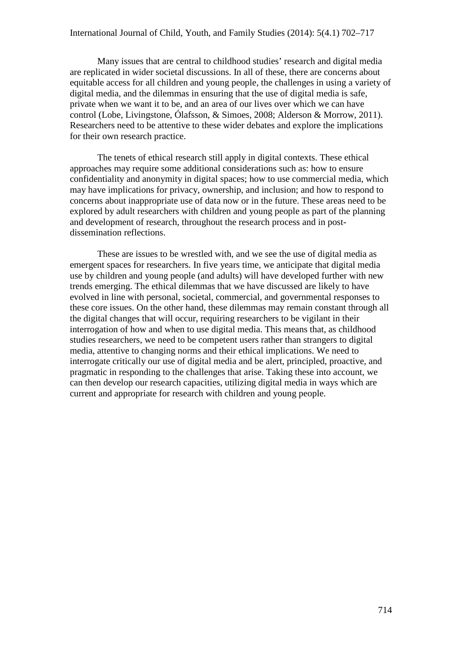Many issues that are central to childhood studies' research and digital media are replicated in wider societal discussions. In all of these, there are concerns about equitable access for all children and young people, the challenges in using a variety of digital media, and the dilemmas in ensuring that the use of digital media is safe, private when we want it to be, and an area of our lives over which we can have control (Lobe, Livingstone, Ólafsson, & Simoes, 2008; Alderson & Morrow, 2011). Researchers need to be attentive to these wider debates and explore the implications for their own research practice.

The tenets of ethical research still apply in digital contexts. These ethical approaches may require some additional considerations such as: how to ensure confidentiality and anonymity in digital spaces; how to use commercial media, which may have implications for privacy, ownership, and inclusion; and how to respond to concerns about inappropriate use of data now or in the future. These areas need to be explored by adult researchers with children and young people as part of the planning and development of research, throughout the research process and in postdissemination reflections.

These are issues to be wrestled with, and we see the use of digital media as emergent spaces for researchers. In five years time, we anticipate that digital media use by children and young people (and adults) will have developed further with new trends emerging. The ethical dilemmas that we have discussed are likely to have evolved in line with personal, societal, commercial, and governmental responses to these core issues. On the other hand, these dilemmas may remain constant through all the digital changes that will occur, requiring researchers to be vigilant in their interrogation of how and when to use digital media. This means that, as childhood studies researchers, we need to be competent users rather than strangers to digital media, attentive to changing norms and their ethical implications. We need to interrogate critically our use of digital media and be alert, principled, proactive, and pragmatic in responding to the challenges that arise. Taking these into account, we can then develop our research capacities, utilizing digital media in ways which are current and appropriate for research with children and young people.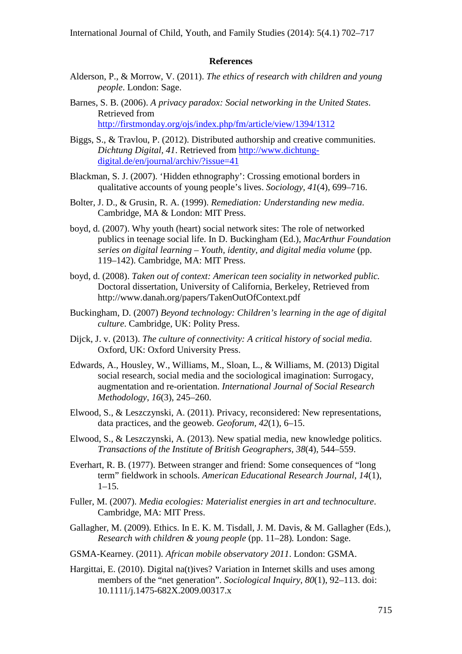#### **References**

- Alderson, P., & Morrow, V. (2011). *The ethics of research with children and young people*. London: Sage.
- Barnes, S. B. (2006). *A privacy paradox: Social networking in the United States*. Retrieved from <http://firstmonday.org/ojs/index.php/fm/article/view/1394/1312>
- Biggs, S., & Travlou, P. (2012). Distributed authorship and creative communities. *Dichtung Digital, 41*. Retrieved from [http://www.dichtung](http://www.dichtung-digital.de/en/journal/archiv/?issue=41)[digital.de/en/journal/archiv/?issue=41](http://www.dichtung-digital.de/en/journal/archiv/?issue=41)
- Blackman, S. J. (2007). 'Hidden ethnography': Crossing emotional borders in qualitative accounts of young people's lives. *Sociology, 41*(4), 699–716.
- Bolter, J. D., & Grusin, R. A. (1999). *Remediation: Understanding new media*. Cambridge, MA & London: MIT Press.
- boyd, d. (2007). Why youth (heart) social network sites: The role of networked publics in teenage social life. In D. Buckingham (Ed.), *MacArthur Foundation series on digital learning – Youth, identity, and digital media volume* (pp. 119–142). Cambridge, MA: MIT Press.
- boyd, d. (2008). *Taken out of context: American teen sociality in networked public.*  Doctoral dissertation, University of California, Berkeley, Retrieved from http://www.danah.org/papers/TakenOutOfContext.pdf
- Buckingham, D. (2007) *Beyond technology: Children's learning in the age of digital culture*. Cambridge, UK: Polity Press.
- Dijck, J. v. (2013). *The culture of connectivity: A critical history of social media*. Oxford, UK: Oxford University Press.
- Edwards, A., Housley, W., Williams, M., Sloan, L., & Williams, M. (2013) Digital social research, social media and the sociological imagination: Surrogacy, augmentation and re-orientation. *International Journal of Social Research Methodology*, *16*(3), 245–260.
- Elwood, S., & Leszczynski, A. (2011). Privacy, reconsidered: New representations, data practices, and the geoweb. *Geoforum, 42*(1), 6–15.
- Elwood, S., & Leszczynski, A. (2013). New spatial media, new knowledge politics. *Transactions of the Institute of British Geographers, 38*(4), 544–559.
- Everhart, R. B. (1977). Between stranger and friend: Some consequences of "long term" fieldwork in schools. *American Educational Research Journal*, *14*(1),  $1-15.$
- Fuller, M. (2007). *Media ecologies: Materialist energies in art and technoculture*. Cambridge, MA: MIT Press.
- Gallagher, M. (2009). Ethics. In E. K. M. Tisdall, J. M. Davis, & M. Gallagher (Eds.), *Research with children & young people* (pp. 11–28)*.* London: Sage.
- GSMA-Kearney. (2011). *African mobile observatory 2011*. London: GSMA.
- Hargittai, E. (2010). Digital na(t)ives? Variation in Internet skills and uses among members of the "net generation". *Sociological Inquiry, 80*(1), 92–113. doi: 10.1111/j.1475-682X.2009.00317.x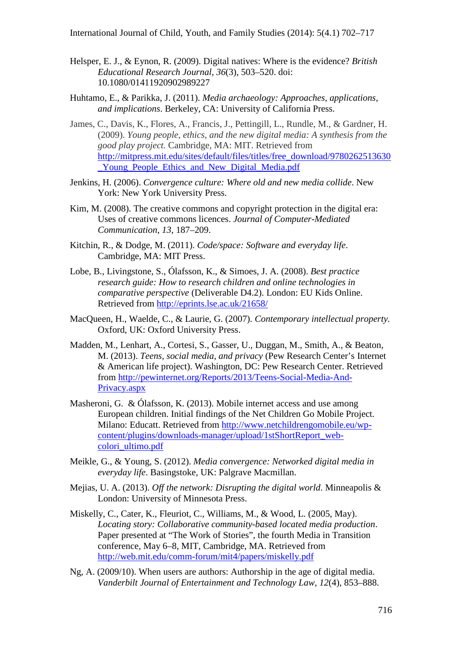International Journal of Child, Youth, and Family Studies (2014): 5(4.1) 702–717

- Helsper, E. J., & Eynon, R. (2009). Digital natives: Where is the evidence? *British Educational Research Journal, 36*(3), 503–520. doi: 10.1080/01411920902989227
- Huhtamo, E., & Parikka, J. (2011). *Media archaeology: Approaches, applications, and implications*. Berkeley, CA: University of California Press.
- James, C., Davis, K., Flores, A., Francis, J., Pettingill, L., Rundle, M., & Gardner, H. (2009). *Young people, ethics, and the new digital media: A synthesis from the good play project.* Cambridge, MA: MIT. Retrieved from [http://mitpress.mit.edu/sites/default/files/titles/free\\_download/9780262513630](http://mitpress.mit.edu/sites/default/files/titles/free_download/9780262513630_Young_People_Ethics_and_New_Digital_Media.pdf) Young People Ethics and New Digital Media.pdf
- Jenkins, H. (2006). *Convergence culture: Where old and new media collide*. New York: New York University Press.
- Kim, M. (2008). The creative commons and copyright protection in the digital era: Uses of creative commons licences. *Journal of Computer-Mediated Communication*, *13*, 187–209.
- Kitchin, R., & Dodge, M. (2011). *Code/space: Software and everyday life*. Cambridge, MA: MIT Press.
- Lobe, B., Livingstone, S., Ólafsson, K., & Simoes, J. A. (2008). *Best practice research guide: How to research children and online technologies in comparative perspective* (Deliverable D4.2). London: EU Kids Online. Retrieved from<http://eprints.lse.ac.uk/21658/>
- MacQueen, H., Waelde, C., & Laurie, G. (2007). *Contemporary intellectual property.*  Oxford, UK: Oxford University Press.
- Madden, M., Lenhart, A., Cortesi, S., Gasser, U., Duggan, M., Smith, A., & Beaton, M. (2013). *Teens, social media, and privacy* (Pew Research Center's Internet & American life project). Washington, DC: Pew Research Center. Retrieved from [http://pewinternet.org/Reports/2013/Teens-Social-Media-And-](http://pewinternet.org/Reports/2013/Teens-Social-Media-And-Privacy.aspx)[Privacy.aspx](http://pewinternet.org/Reports/2013/Teens-Social-Media-And-Privacy.aspx)
- Masheroni, G. & Ólafsson, K. (2013). Mobile internet access and use among European children. Initial findings of the Net Children Go Mobile Project. Milano: Educatt. Retrieved from [http://www.netchildrengomobile.eu/wp](http://www.netchildrengomobile.eu/wp-content/plugins/downloads-manager/upload/1stShortReport_web-colori_ultimo.pdf)[content/plugins/downloads-manager/upload/1stShortReport\\_web](http://www.netchildrengomobile.eu/wp-content/plugins/downloads-manager/upload/1stShortReport_web-colori_ultimo.pdf)[colori\\_ultimo.pdf](http://www.netchildrengomobile.eu/wp-content/plugins/downloads-manager/upload/1stShortReport_web-colori_ultimo.pdf)
- Meikle, G., & Young, S. (2012). *Media convergence: Networked digital media in everyday life*. Basingstoke, UK: Palgrave Macmillan.
- Mejias, U. A. (2013). *Off the network: Disrupting the digital world*. Minneapolis & London: University of Minnesota Press.
- Miskelly, C., Cater, K., Fleuriot, C., Williams, M., & Wood, L. (2005, May). *Locating story: Collaborative community-based located media production*. Paper presented at "The Work of Stories", the fourth Media in Transition conference, May 6–8, MIT, Cambridge, MA. Retrieved from <http://web.mit.edu/comm-forum/mit4/papers/miskelly.pdf>
- Ng, A. (2009/10). When users are authors: Authorship in the age of digital media. *Vanderbilt Journal of Entertainment and Technology Law, 12*(4), 853–888.